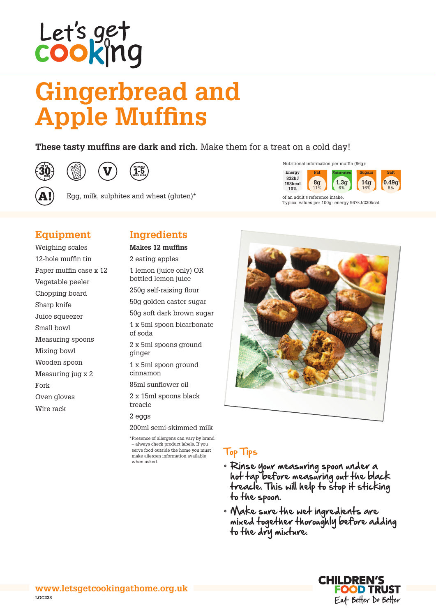# Let's get<br>cook|ng

# **Gingerbread and Apple Muffins**

### **These tasty muffins are dark and rich.** Make them for a treat on a cold day!







Egg, milk, sulphites and wheat (gluten)\*



of an adult's reference intake. Typical values per 100g: energy 967kJ/230kcal.

### **Equipment**

Weighing scales 12-hole muffin tin Paper muffin case x 12 Vegetable peeler Chopping board Sharp knife Juice squeezer Small bowl Measuring spoons Mixing bowl Wooden spoon Measuring jug x 2 Fork Oven gloves Wire rack

## **Ingredients**

#### **Makes 12 muffins**

2 eating apples 1 lemon (juice only) OR bottled lemon juice 250g self-raising flour 50g golden caster sugar 50g soft dark brown sugar 1 x 5ml spoon bicarbonate of soda 2 x 5ml spoons ground ginger 1 x 5ml spoon ground cinnamon 85ml sunflower oil 2 x 15ml spoons black treacle 2 eggs

200ml semi-skimmed milk

\*Presence of allergens can vary by brand – always check product labels. If you serve food outside the home you must make allergen information available when asked.



### Top Tips

- • Rinse your measuring spoon under a hot tap before measuring out the black treacle. This will help to stop it sticking to the spoon.
- • Make sure the wet ingredients are mixed together thoroughly before adding to the dry mixture.